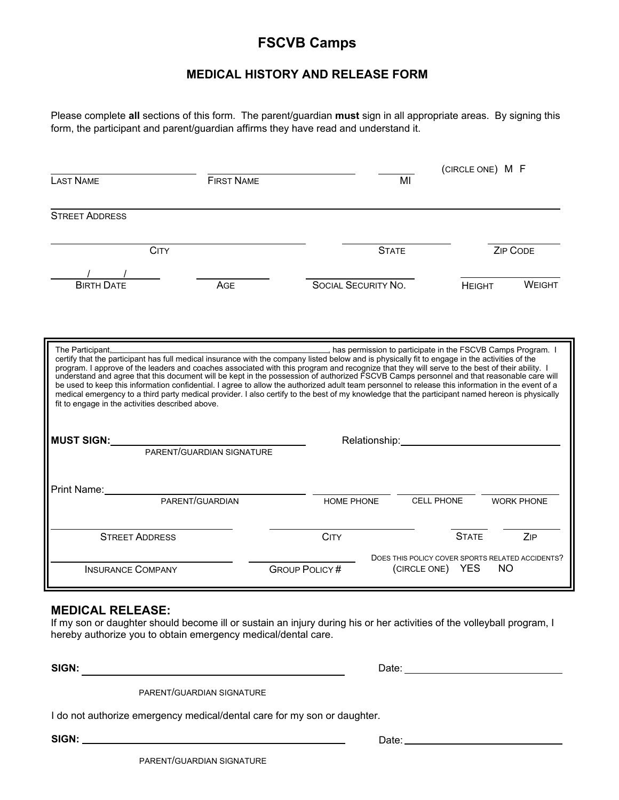## **FSCVB Camps**

## **MEDICAL HISTORY AND RELEASE FORM**

Please complete **all** sections of this form. The parent/guardian **must** sign in all appropriate areas. By signing this form, the participant and parent/guardian affirms they have read and understand it.

|                                                                                                                                                                                                                                                                                                                                                                                                                                                                                                                                                                                                                                                                                                                                                                     |                   |                                 |                    | (CIRCLE ONE) M F  |                                                             |  |  |
|---------------------------------------------------------------------------------------------------------------------------------------------------------------------------------------------------------------------------------------------------------------------------------------------------------------------------------------------------------------------------------------------------------------------------------------------------------------------------------------------------------------------------------------------------------------------------------------------------------------------------------------------------------------------------------------------------------------------------------------------------------------------|-------------------|---------------------------------|--------------------|-------------------|-------------------------------------------------------------|--|--|
| <b>LAST NAME</b>                                                                                                                                                                                                                                                                                                                                                                                                                                                                                                                                                                                                                                                                                                                                                    | <b>FIRST NAME</b> |                                 | MI                 |                   |                                                             |  |  |
| <b>STREET ADDRESS</b>                                                                                                                                                                                                                                                                                                                                                                                                                                                                                                                                                                                                                                                                                                                                               |                   |                                 |                    |                   |                                                             |  |  |
| <b>CITY</b>                                                                                                                                                                                                                                                                                                                                                                                                                                                                                                                                                                                                                                                                                                                                                         |                   | <b>ZIP CODE</b><br><b>STATE</b> |                    |                   |                                                             |  |  |
|                                                                                                                                                                                                                                                                                                                                                                                                                                                                                                                                                                                                                                                                                                                                                                     |                   |                                 |                    |                   |                                                             |  |  |
| <b>BIRTH DATE</b>                                                                                                                                                                                                                                                                                                                                                                                                                                                                                                                                                                                                                                                                                                                                                   | AGE               | <b>SOCIAL SECURITY NO.</b>      |                    | <b>HEIGHT</b>     | <b>WEIGHT</b>                                               |  |  |
| The Participant,<br>certify that the participant has full medical insurance with the company listed below and is physically fit to engage in the activities of the<br>program. I approve of the leaders and coaches associated with this program and recognize that they will serve to the best of their ability. I<br>understand and agree that this document will be kept in the possession of author<br>be used to keep this information confidential. I agree to allow the authorized adult team personnel to release this information in the event of a<br>medical emergency to a third party medical provider. I also certify to the best of my knowledge that the participant named hereon is physically<br>fit to engage in the activities described above. |                   |                                 |                    |                   | has permission to participate in the FSCVB Camps Program. I |  |  |
| <b>MUST SIGN:</b>                                                                                                                                                                                                                                                                                                                                                                                                                                                                                                                                                                                                                                                                                                                                                   |                   |                                 | Relationship: 2000 |                   |                                                             |  |  |
| PARENT/GUARDIAN SIGNATURE                                                                                                                                                                                                                                                                                                                                                                                                                                                                                                                                                                                                                                                                                                                                           |                   |                                 |                    |                   |                                                             |  |  |
| Print Name:                                                                                                                                                                                                                                                                                                                                                                                                                                                                                                                                                                                                                                                                                                                                                         |                   |                                 |                    |                   |                                                             |  |  |
|                                                                                                                                                                                                                                                                                                                                                                                                                                                                                                                                                                                                                                                                                                                                                                     | PARENT/GUARDIAN   | <b>HOME PHONE</b>               |                    | <b>CELL PHONE</b> | <b>WORK PHONE</b>                                           |  |  |
| <b>STREET ADDRESS</b>                                                                                                                                                                                                                                                                                                                                                                                                                                                                                                                                                                                                                                                                                                                                               |                   | <b>CITY</b>                     |                    | <b>STATE</b>      | ZIP                                                         |  |  |
| <b>INSURANCE COMPANY</b>                                                                                                                                                                                                                                                                                                                                                                                                                                                                                                                                                                                                                                                                                                                                            |                   | <b>GROUP POLICY#</b>            | (CIRCLE ONE)       | <b>YES</b>        | DOES THIS POLICY COVER SPORTS RELATED ACCIDENTS?<br>NO.     |  |  |

## **MEDICAL RELEASE:**

If my son or daughter should become ill or sustain an injury during his or her activities of the volleyball program, I hereby authorize you to obtain emergency medical/dental care.

**SIGN:** Date: <u>Date: Date: Date: Date: Date: Date: Date: 2000 00:00 00:00 00:00 00:00 00:00 00:00 00:00 00:00 00:00 00:00 00:00 00:00 00:00 00:00 00:00 00:00 00:00 00:00 00:00 00:00 00:00 00:00 00:00 00:00 00:00 00:00 00:0</u>

PARENT/GUARDIAN SIGNATURE

I do not authorize emergency medical/dental care for my son or daughter.

**SIGN:**

PARENT/GUARDIAN SIGNATURE

Date: University of the University of the University of the University of the University of the University of the University of the University of the University of the University of the University of the University of the